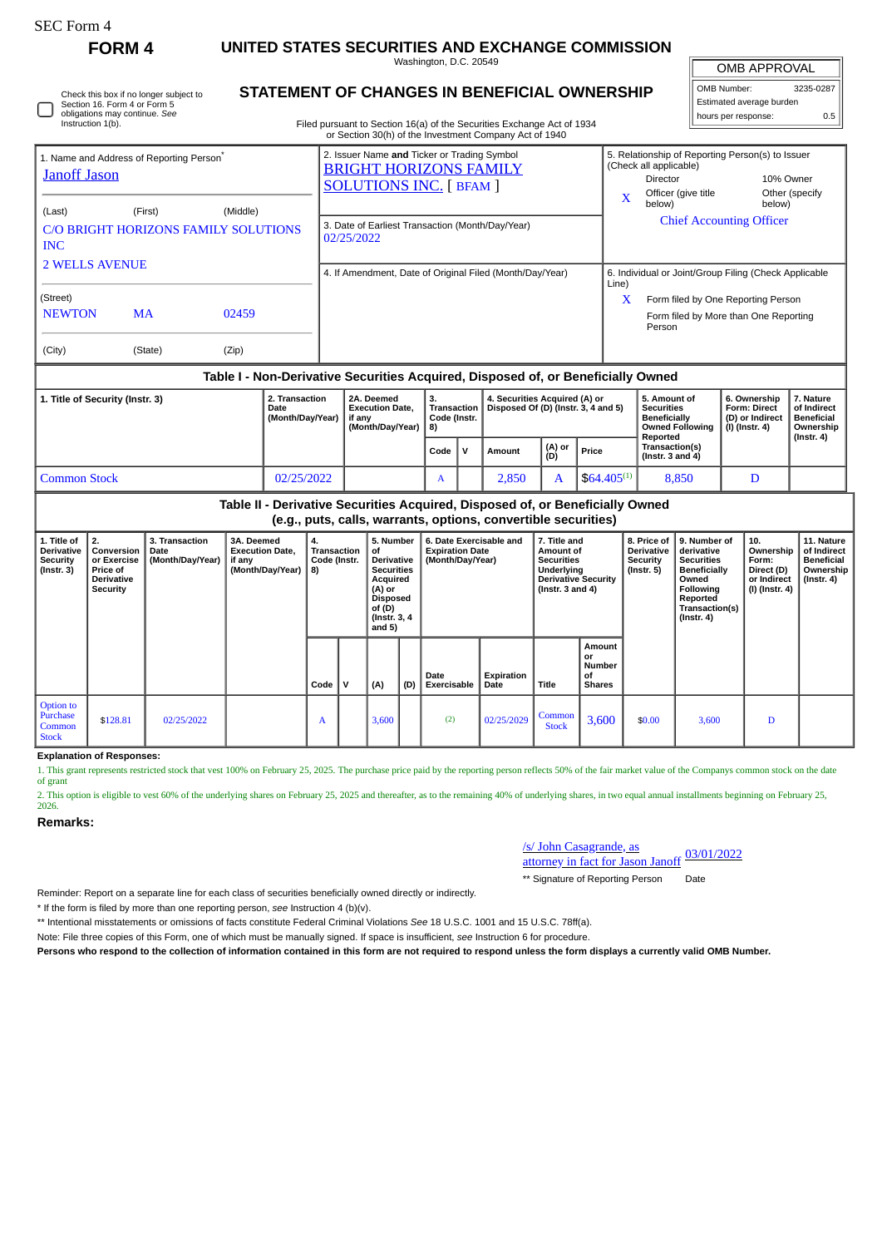## **FORM 4 UNITED STATES SECURITIES AND EXCHANGE COMMISSION**

Washington, D.C. 20549 **STATEMENT OF CHANGES IN BENEFICIAL OWNERSHIP**

| <b>OMB APPROVAL</b>      |     |  |  |  |  |  |  |  |  |  |
|--------------------------|-----|--|--|--|--|--|--|--|--|--|
| OMB Number:<br>3235-0287 |     |  |  |  |  |  |  |  |  |  |
| Estimated average burden |     |  |  |  |  |  |  |  |  |  |
| hours per response:      | 0.5 |  |  |  |  |  |  |  |  |  |

| Instruction 1(b).                                                                                                                                                  | Check this box if no longer subject to<br>Section 16. Form 4 or Form 5<br>obligations may continue. See |                |  | STATEMENT OF CHANGES IN BENEFICIAL OWNERSHIP<br>Filed pursuant to Section 16(a) of the Securities Exchange Act of 1934                                                                                                                     |                                                | Estimated average burden<br>0.5<br>hours per response:               |                                                                                                                                                                                                                     |                                                                                    |                                                                             |                                                            |  |
|--------------------------------------------------------------------------------------------------------------------------------------------------------------------|---------------------------------------------------------------------------------------------------------|----------------|--|--------------------------------------------------------------------------------------------------------------------------------------------------------------------------------------------------------------------------------------------|------------------------------------------------|----------------------------------------------------------------------|---------------------------------------------------------------------------------------------------------------------------------------------------------------------------------------------------------------------|------------------------------------------------------------------------------------|-----------------------------------------------------------------------------|------------------------------------------------------------|--|
| 1. Name and Address of Reporting Person <sup>®</sup><br><b>Janoff Jason</b><br>(Middle)<br>(Last)<br>(First)<br>C/O BRIGHT HORIZONS FAMILY SOLUTIONS<br><b>INC</b> |                                                                                                         |                |  | or Section 30(h) of the Investment Company Act of 1940<br>2. Issuer Name and Ticker or Trading Symbol<br><b>BRIGHT HORIZONS FAMILY</b><br><b>SOLUTIONS INC.</b> [ BFAM ]<br>3. Date of Earliest Transaction (Month/Day/Year)<br>02/25/2022 |                                                |                                                                      | 5. Relationship of Reporting Person(s) to Issuer<br>(Check all applicable)<br>10% Owner<br>Director<br>Officer (give title<br>Other (specify<br>$\mathbf{x}$<br>below)<br>below)<br><b>Chief Accounting Officer</b> |                                                                                    |                                                                             |                                                            |  |
| <b>2 WELLS AVENUE</b>                                                                                                                                              |                                                                                                         |                |  | 4. If Amendment, Date of Original Filed (Month/Day/Year)                                                                                                                                                                                   |                                                |                                                                      | 6. Individual or Joint/Group Filing (Check Applicable<br>Line)                                                                                                                                                      |                                                                                    |                                                                             |                                                            |  |
| (Street)<br><b>NEWTON</b><br>(City)                                                                                                                                | <b>MA</b><br>(State)                                                                                    | 02459<br>(Zip) |  |                                                                                                                                                                                                                                            |                                                |                                                                      | X                                                                                                                                                                                                                   | Person                                                                             | Form filed by One Reporting Person<br>Form filed by More than One Reporting |                                                            |  |
| Table I - Non-Derivative Securities Acquired, Disposed of, or Beneficially Owned                                                                                   |                                                                                                         |                |  |                                                                                                                                                                                                                                            |                                                |                                                                      |                                                                                                                                                                                                                     |                                                                                    |                                                                             |                                                            |  |
| 2. Transaction<br>1. Title of Security (Instr. 3)<br>Date<br>(Month/Day/Year)                                                                                      |                                                                                                         |                |  | 2A. Deemed<br><b>Execution Date,</b><br>if any<br>(Month/Day/Year)                                                                                                                                                                         | 3.<br><b>Transaction</b><br>Code (Instr.<br>8) | 4. Securities Acquired (A) or<br>Disposed Of (D) (Instr. 3, 4 and 5) |                                                                                                                                                                                                                     | 5. Amount of<br><b>Securities</b><br><b>Beneficially</b><br><b>Owned Following</b> | 6. Ownership<br><b>Form: Direct</b><br>(D) or Indirect<br>(I) (Instr. 4)    | 7. Nature<br>of Indirect<br><b>Beneficial</b><br>Ownership |  |

|                                                                               | (Month/Day/Year)   8) |  |      |              |        |               | Owned Following<br>Reported | (I) (Instr. 4)                         | ⊩ ∪wnersnip<br>(Instr. 4) |  |  |
|-------------------------------------------------------------------------------|-----------------------|--|------|--------------|--------|---------------|-----------------------------|----------------------------------------|---------------------------|--|--|
|                                                                               |                       |  | Code | $\mathbf{v}$ | Amount | (A) or<br>(D) | Price                       | Transaction(s)<br>( $Instr. 3 and 4$ ) |                           |  |  |
| 02/25/2022<br><b>Common Stock</b>                                             |                       |  |      |              | 2.850  |               | $$64.405^{(1)}$$            | 8,850                                  |                           |  |  |
| Table II - Derivative Securities Acquired. Disposed of, or Beneficially Owned |                       |  |      |              |        |               |                             |                                        |                           |  |  |

| able ii - Derivative Securities Acquired, Disposed of, or Beneficially Owned |
|------------------------------------------------------------------------------|
| (e.g., puts, calls, warrants, options, convertible securities)               |

| 1. Title of<br>Derivative<br><b>Security</b><br>$($ Instr. 3 $)$ | I 2.<br>Conversion<br>or Exercise<br><b>Price of</b><br><b>Derivative</b><br>Security | 3. Transaction<br>Date<br>(Month/Day/Year) | 3A. Deemed<br><b>Execution Date.</b><br>if any<br>(Month/Day/Year)   8) | 4.<br>Transaction<br>Code (Instr. | 5. Number<br>of<br>Derivative<br><b>Securities</b><br>Acquired<br>(A) or<br>Disposed<br>of (D)<br>(Instr. 3, 4)<br>and $5)$ |     | 6. Date Exercisable and<br><b>Expiration Date</b><br>(Month/Day/Year) |                    | 7. Title and<br>Amount of<br><b>Securities</b><br>Underlying<br><b>Derivative Security</b><br>$($ lnstr. 3 and 4 $)$ |                                               | 8. Price of<br><b>Derivative</b><br>Security<br>(Instr. 5) | 9. Number of<br>derivative<br><b>Securities</b><br>Beneficially<br>Owned<br><b>Following</b><br>Reported<br>Transaction(s)<br>$($ Instr. 4 $)$ | 10.<br>Ownership<br>Form:<br>Direct (D)<br>or Indirect<br>(I) (Instr. 4) | 11. Nature<br>of Indirect<br><b>Beneficial</b><br>Ownership<br>(Instr. 4) |
|------------------------------------------------------------------|---------------------------------------------------------------------------------------|--------------------------------------------|-------------------------------------------------------------------------|-----------------------------------|-----------------------------------------------------------------------------------------------------------------------------|-----|-----------------------------------------------------------------------|--------------------|----------------------------------------------------------------------------------------------------------------------|-----------------------------------------------|------------------------------------------------------------|------------------------------------------------------------------------------------------------------------------------------------------------|--------------------------------------------------------------------------|---------------------------------------------------------------------------|
|                                                                  |                                                                                       |                                            |                                                                         | Code $ V $                        | (A)                                                                                                                         | (D) | Date<br>Exercisable                                                   | Expiration<br>Date | Title                                                                                                                | Amount<br>or<br>Number<br>οf<br><b>Shares</b> |                                                            |                                                                                                                                                |                                                                          |                                                                           |
| Option to<br>Purchase<br>Common<br><b>Stock</b>                  | \$128.81                                                                              | 02/25/2022                                 |                                                                         | A                                 | 3,600                                                                                                                       |     | (2)                                                                   | 02/25/2029         | Common<br><b>Stock</b>                                                                                               | 3,600                                         | \$0.00                                                     | 3,600                                                                                                                                          | D                                                                        |                                                                           |

## **Explanation of Responses:**

1. This grant represents restricted stock that vest 100% on February 25, 2025. The purchase price paid by the reporting person reflects 50% of the fair market value of the Companys common stock on the date of grant

2. This option is eligible to vest 60% of the underlying shares on February 25, 2025 and thereafter, as to the remaining 40% of underlying shares, in two equal annual installments beginning on February 25, 2026.

## **Remarks:**

/s/ John Casagrande, as

attorney in fact for Jason Janoff 03/01/2022

\*\* Signature of Reporting Person Date

Reminder: Report on a separate line for each class of securities beneficially owned directly or indirectly.

\* If the form is filed by more than one reporting person, *see* Instruction 4 (b)(v).

\*\* Intentional misstatements or omissions of facts constitute Federal Criminal Violations *See* 18 U.S.C. 1001 and 15 U.S.C. 78ff(a).

Note: File three copies of this Form, one of which must be manually signed. If space is insufficient, *see* Instruction 6 for procedure.

**Persons who respond to the collection of information contained in this form are not required to respond unless the form displays a currently valid OMB Number.**